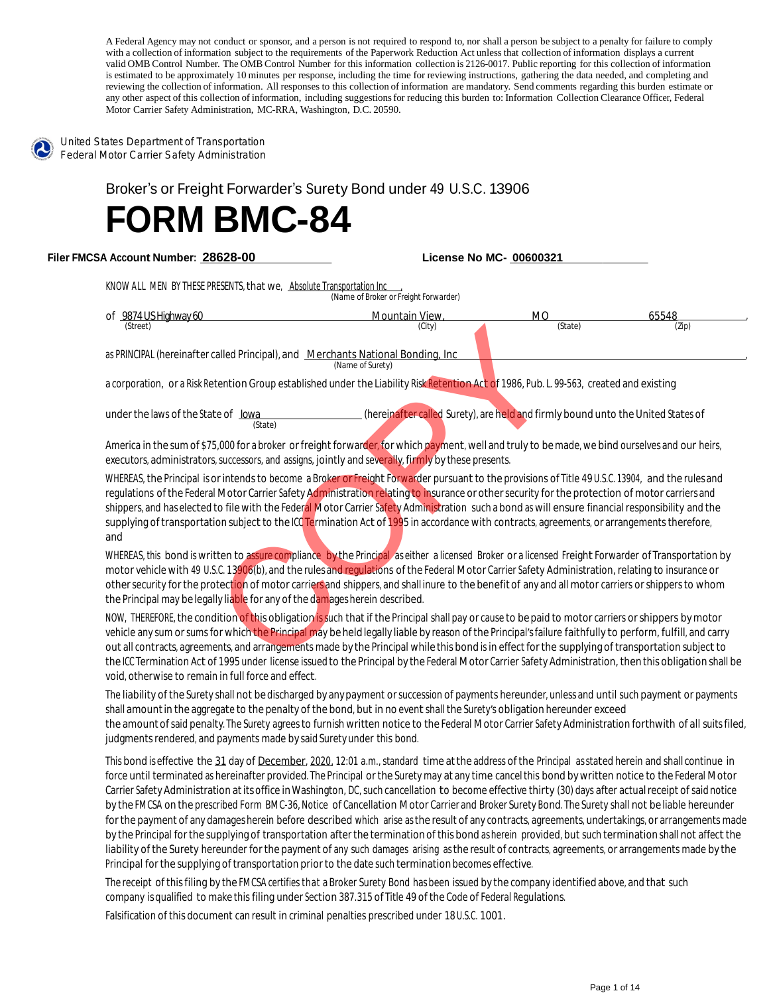A Federal Agency may not conduct or sponsor, and a person is not required to respond to, nor shall a person be subject to a penalty for failure to comply with a collection of information subject to the requirements of the Paperwork Reduction Act unless that collection of information displays a current valid OMB Control Number. The OMB Control Number for this information collection is 2126-0017. Public reporting for this collection of information is estimated to be approximately 10 minutes per response, including the time for reviewing instructions, gathering the data needed, and completing and reviewing the collection of information. All responses to this collection of information are mandatory. Send comments regarding this burden estimate or any other aspect of this collection of information, including suggestions for reducing this burden to: Information Collection Clearance Officer, Federal Motor Carrier Safety Administration, MC-RRA, Washington, D.C. 20590.



United States Department of Transportation Federal Motor Carrier Safety Administration

Broker's or Freight Forwarder's Surety Bond under <sup>49</sup> U.S.C. 13906

## **FORM BMC-84**

 **Filer FMCSA Account Number: 28628-00 License No MC- 00600321**

KNOW ALL MEN BY THESE PRESENTS, that we, Absolute Transportation Inc

|                                                                                                                                                                                                                                                                                                                                                                                                                                                                                                                                                                                                                                  | (Name of Broker or Freight Forwarder)                                            |           |       |
|----------------------------------------------------------------------------------------------------------------------------------------------------------------------------------------------------------------------------------------------------------------------------------------------------------------------------------------------------------------------------------------------------------------------------------------------------------------------------------------------------------------------------------------------------------------------------------------------------------------------------------|----------------------------------------------------------------------------------|-----------|-------|
| of 9874 US Highway 60                                                                                                                                                                                                                                                                                                                                                                                                                                                                                                                                                                                                            | Mountain View,                                                                   | <b>MO</b> | 65548 |
| (Street)                                                                                                                                                                                                                                                                                                                                                                                                                                                                                                                                                                                                                         | (City)                                                                           | (State)   | (Zip) |
| as PRINCIPAL (hereinafter called Principal), and Merchants National Bonding, Inc.                                                                                                                                                                                                                                                                                                                                                                                                                                                                                                                                                | (Name of Surety)                                                                 |           |       |
| a corporation, or a Risk Retention Group established under the Liability Risk Retention Act of 1986, Pub. L. 99-563, created and existing                                                                                                                                                                                                                                                                                                                                                                                                                                                                                        |                                                                                  |           |       |
| under the laws of the State of lowa<br>(State)                                                                                                                                                                                                                                                                                                                                                                                                                                                                                                                                                                                   | (hereinafter called Surety), are held and firmly bound unto the United States of |           |       |
| America in the sum of \$75,000 for a broker or freight forwarder, for which payment, well and truly to be made, we bind ourselves and our heirs,<br>executors, administrators, successors, and assigns, jointly and severally, firmly by these presents.                                                                                                                                                                                                                                                                                                                                                                         |                                                                                  |           |       |
| WHEREAS, the Principal is or intends to become a Broker or Freight Forwarder pursuant to the provisions of Title 49 U.S.C. 13904, and the rules and<br>requlations of the Federal Motor Carrier Safety Administration relating to insurance or other security for the protection of motor carriers and<br>shippers, and has elected to file with the Federal Motor Carrier Safety Administration such a bond as will ensure financial responsibility and the<br>supplying of transportation subject to the ICC Termination Act of 1995 in accordance with contracts, agreements, or arrangements therefore,<br>and               |                                                                                  |           |       |
| WHEREAS, this bond is written to assure compliance by the Principal as either a licensed Broker or a licensed Freight Forwarder of Transportation by<br>motor vehicle with 49 U.S.C. 13906(b), and the rules and regulations of the Federal Motor Carrier Safety Administration, relating to insurance or<br>other security for the protection of motor carriers and shippers, and shall inure to the benefit of any and all motor carriers or shippers to whom<br>the Principal may be legally liable for any of the damages herein described.                                                                                  |                                                                                  |           |       |
| NOW, THEREFORE, the condition of this obligation is such that if the Principal shall pay or cause to be paid to motor carriers or shippers by motor<br>vehicle any sum or sums for which the Principal may be held legally liable by reason of the Principal's failure faithfully to perform, fulfill, and carry<br>out all contracts, agreements, and arrangements made by the Principal while this bond is in effect for the supplying of transportation subject to<br>the ICC Termination Act of 1995 under license issued to the Principal by the Federal Motor Carrier Safety Administration, then this obligation shall be |                                                                                  |           |       |

NOW, THEREFORE, the condition of this obligation is such that if the Principal shall pay or cause to be paid to motor carriers or shippers by motor vehicle any sum or sums for which the Principal may be held legally liable by reason of the Principal's failure faithfully to perform, fulfill, and carry out all contracts, agreements, and arrangements made by the Principal while this bond is in effect for the supplying of transportation subject to the ICC Termination Act of 1995 under license issued to the Principal by the Federal Motor Carrier Safety Administration, then this obligation shall be void, otherwise to remain in full force and effect.

The liability of the Surety shall not bedischarged by any payment orsuccession of payments hereunder, unless and until such payment or payments shall amount in the aggregate to the penalty of the bond, but in no event shall the Surety's obligation hereunder exceed the amount of said penalty. The Surety agrees to furnish written notice to the Federal Motor Carrier Safety Administration forthwith of all suits filed, judgments rendered, and payments made by said Surety under this bond.

This bond is effective the 31 day of December, 2020, 12:01 a.m., standard time at the address of the Principal as stated herein and shall continue in force until terminated as hereinafter provided. The Principal or the Surety may at any time cancel this bond by written notice to the Federal Motor Carrier Safety Administration at its office in Washington, DC, such cancellation to become effective thirty (30) days after actual receipt of said notice by the FMCSA on the prescribed Form BMC-36, Notice of Cancellation Motor Carrier and Broker Surety Bond. The Surety shall not be liable hereunder for the payment of any damages herein before described which arise as the result of any contracts, agreements, undertakings, or arrangements made by the Principal for the supplying of transportation after the termination of this bond as herein provided, but such termination shall not affect the liability of the Surety hereunder for the payment of any such damages arising as the result of contracts, agreements, or arrangements made by the Principal for the supplying of transportation prior to the date such termination becomes effective.

The receipt of thisfiling by the FMCSA certifies that a Broker Surety Bond has been issued by the company identified above, and that such company isqualified to make this filing under Section 387.315 of Title 49 of the Code of Federal Regulations.

Falsification of this document can result in criminal penalties prescribed under 18 U.S.C. 1001.